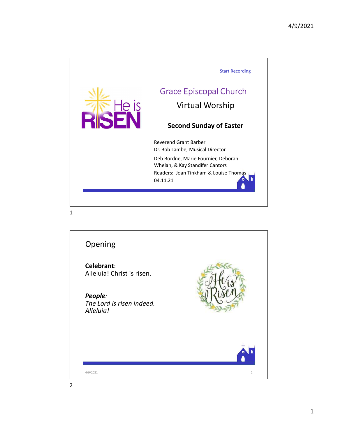

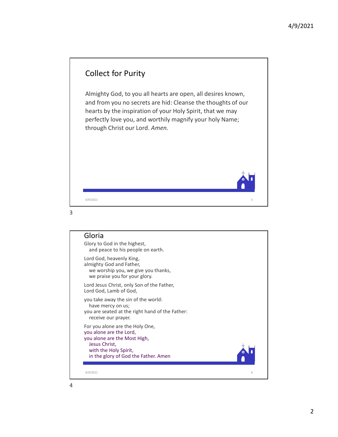





Lord God, heavenly King, almighty God and Father, we worship you, we give you thanks, we praise you for your glory.

Lord Jesus Christ, only Son of the Father, Lord God, Lamb of God,

you take away the sin of the world: have mercy on us; you are seated at the right hand of the Father: receive our prayer.

For you alone are the Holy One, you alone are the Lord, you alone are the Most High, Jesus Christ, with the Holy Spirit, in the glory of God the Father. Amen **Gloria**<br>
Gloria<br>
Slov to God in the highest,<br>
and peace to his people on earth.<br>
cord God, heavenly king,<br>
where principal with the conditional method,<br>
we worship you, we give you thanks,<br>
we worship you, we give you th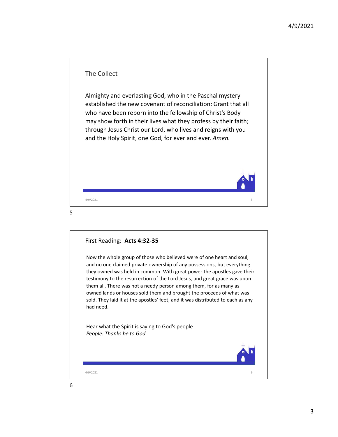

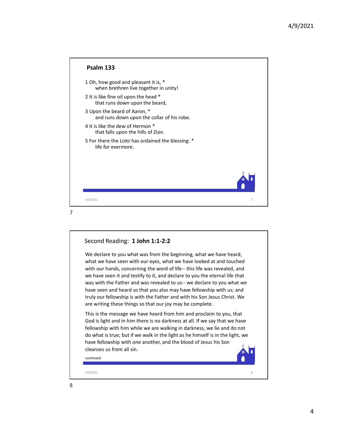|                                                                               |                | 4/9/2021 |
|-------------------------------------------------------------------------------|----------------|----------|
|                                                                               |                |          |
| Psalm 133                                                                     |                |          |
| 1 Oh, how good and pleasant it is, *<br>when brethren live together in unity! |                |          |
| 2 It is like fine oil upon the head *<br>that runs down upon the beard,       |                |          |
| 3 Upon the beard of Aaron, *<br>and runs down upon the collar of his robe.    |                |          |
| 4 It is like the dew of Hermon *<br>that falls upon the hills of Zion.        |                |          |
| 5 For there the LORD has ordained the blessing: *<br>life for evermore.       |                |          |
|                                                                               |                |          |
|                                                                               |                |          |
| 4/9/2021                                                                      | $\overline{7}$ |          |
|                                                                               |                |          |
|                                                                               |                |          |
| Cocond Dooding: 1 John 1:1<br>ີ                                               |                |          |



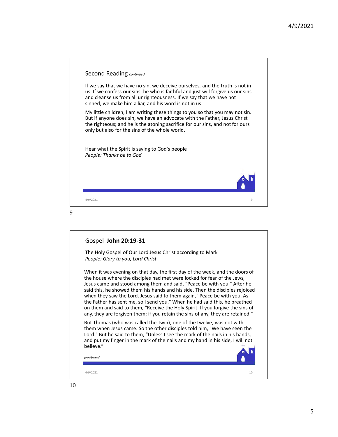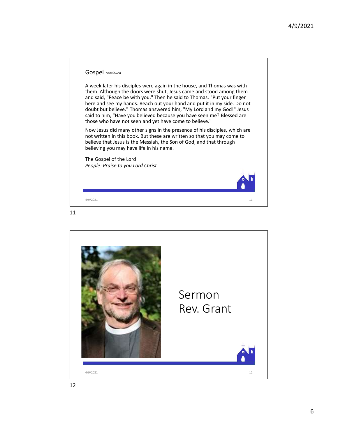

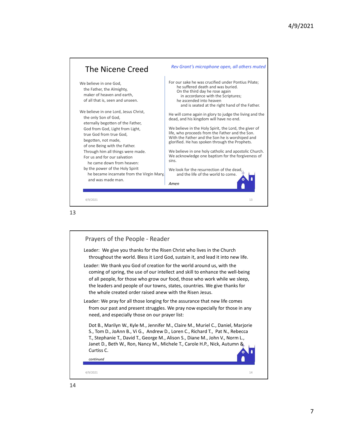



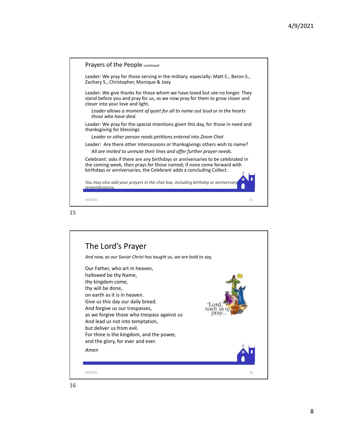



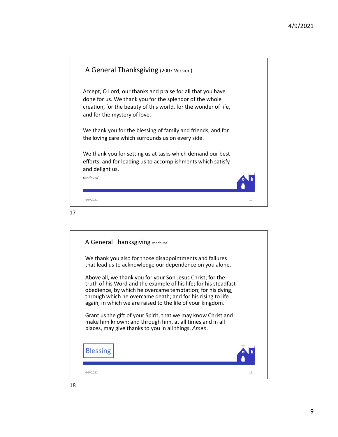